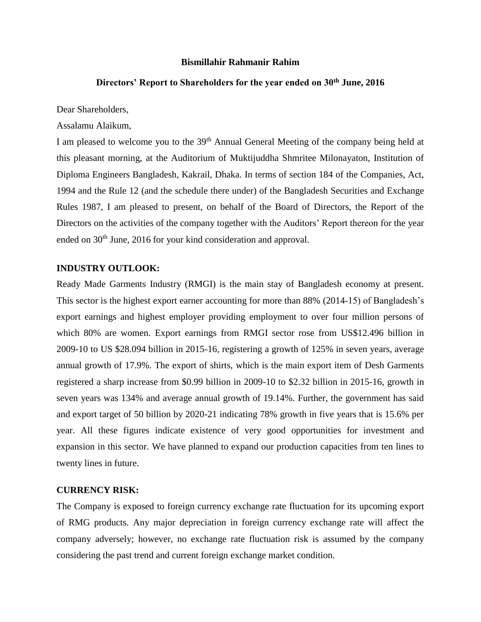#### **Bismillahir Rahmanir Rahim**

## **Directors' Report to Shareholders for the year ended on 30th June, 2016**

Dear Shareholders,

Assalamu Alaikum,

I am pleased to welcome you to the 39<sup>th</sup> Annual General Meeting of the company being held at this pleasant morning, at the Auditorium of Muktijuddha Shmritee Milonayaton, Institution of Diploma Engineers Bangladesh, Kakrail, Dhaka. In terms of section 184 of the Companies, Act, 1994 and the Rule 12 (and the schedule there under) of the Bangladesh Securities and Exchange Rules 1987, I am pleased to present, on behalf of the Board of Directors, the Report of the Directors on the activities of the company together with the Auditors' Report thereon for the year ended on 30<sup>th</sup> June, 2016 for your kind consideration and approval.

## **INDUSTRY OUTLOOK:**

Ready Made Garments Industry (RMGI) is the main stay of Bangladesh economy at present. This sector is the highest export earner accounting for more than 88% (2014-15) of Bangladesh's export earnings and highest employer providing employment to over four million persons of which 80% are women. Export earnings from RMGI sector rose from US\$12.496 billion in 2009-10 to US \$28.094 billion in 2015-16, registering a growth of 125% in seven years, average annual growth of 17.9%. The export of shirts, which is the main export item of Desh Garments registered a sharp increase from \$0.99 billion in 2009-10 to \$2.32 billion in 2015-16, growth in seven years was 134% and average annual growth of 19.14%. Further, the government has said and export target of 50 billion by 2020-21 indicating 78% growth in five years that is 15.6% per year. All these figures indicate existence of very good opportunities for investment and expansion in this sector. We have planned to expand our production capacities from ten lines to twenty lines in future.

#### **CURRENCY RISK:**

The Company is exposed to foreign currency exchange rate fluctuation for its upcoming export of RMG products. Any major depreciation in foreign currency exchange rate will affect the company adversely; however, no exchange rate fluctuation risk is assumed by the company considering the past trend and current foreign exchange market condition.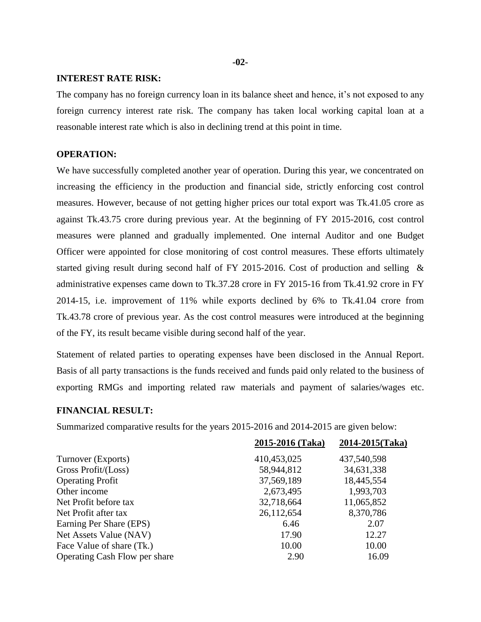**-02-**

#### **INTEREST RATE RISK:**

The company has no foreign currency loan in its balance sheet and hence, it's not exposed to any foreign currency interest rate risk. The company has taken local working capital loan at a reasonable interest rate which is also in declining trend at this point in time.

#### **OPERATION:**

We have successfully completed another year of operation. During this year, we concentrated on increasing the efficiency in the production and financial side, strictly enforcing cost control measures. However, because of not getting higher prices our total export was Tk.41.05 crore as against Tk.43.75 crore during previous year. At the beginning of FY 2015-2016, cost control measures were planned and gradually implemented. One internal Auditor and one Budget Officer were appointed for close monitoring of cost control measures. These efforts ultimately started giving result during second half of FY 2015-2016. Cost of production and selling & administrative expenses came down to Tk.37.28 crore in FY 2015-16 from Tk.41.92 crore in FY 2014-15, i.e. improvement of 11% while exports declined by 6% to Tk.41.04 crore from Tk.43.78 crore of previous year. As the cost control measures were introduced at the beginning of the FY, its result became visible during second half of the year.

Statement of related parties to operating expenses have been disclosed in the Annual Report. Basis of all party transactions is the funds received and funds paid only related to the business of exporting RMGs and importing related raw materials and payment of salaries/wages etc.

## **FINANCIAL RESULT:**

Summarized comparative results for the years 2015-2016 and 2014-2015 are given below:

|                               | 2015-2016 (Taka) | 2014-2015(Taka) |
|-------------------------------|------------------|-----------------|
| Turnover (Exports)            | 410,453,025      | 437,540,598     |
| Gross Profit/(Loss)           | 58,944,812       | 34,631,338      |
| <b>Operating Profit</b>       | 37,569,189       | 18,445,554      |
| Other income                  | 2,673,495        | 1,993,703       |
| Net Profit before tax         | 32,718,664       | 11,065,852      |
| Net Profit after tax          | 26,112,654       | 8,370,786       |
| Earning Per Share (EPS)       | 6.46             | 2.07            |
| Net Assets Value (NAV)        | 17.90            | 12.27           |
| Face Value of share (Tk.)     | 10.00            | 10.00           |
| Operating Cash Flow per share | 2.90             | 16.09           |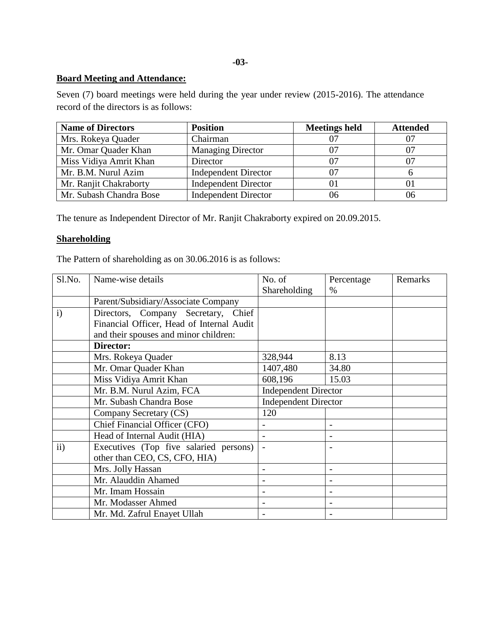## **-03-**

## **Board Meeting and Attendance:**

Seven (7) board meetings were held during the year under review (2015-2016). The attendance record of the directors is as follows:

| <b>Name of Directors</b> | <b>Position</b>             | <b>Meetings held</b> | <b>Attended</b> |
|--------------------------|-----------------------------|----------------------|-----------------|
| Mrs. Rokeya Quader       | Chairman                    |                      | 07              |
| Mr. Omar Quader Khan     | <b>Managing Director</b>    |                      | 07              |
| Miss Vidiya Amrit Khan   | Director                    |                      |                 |
| Mr. B.M. Nurul Azim      | <b>Independent Director</b> |                      |                 |
| Mr. Ranjit Chakraborty   | <b>Independent Director</b> |                      |                 |
| Mr. Subash Chandra Bose  | <b>Independent Director</b> |                      | 06              |

The tenure as Independent Director of Mr. Ranjit Chakraborty expired on 20.09.2015.

# **Shareholding**

The Pattern of shareholding as on 30.06.2016 is as follows:

| Sl.No.       | Name-wise details                         | No. of                                                     | Percentage     | Remarks |
|--------------|-------------------------------------------|------------------------------------------------------------|----------------|---------|
|              |                                           | Shareholding                                               | $\%$           |         |
|              | Parent/Subsidiary/Associate Company       |                                                            |                |         |
| $\mathbf{i}$ | Directors, Company Secretary, Chief       |                                                            |                |         |
|              | Financial Officer, Head of Internal Audit |                                                            |                |         |
|              | and their spouses and minor children:     |                                                            |                |         |
|              | Director:                                 |                                                            |                |         |
|              | Mrs. Rokeya Quader                        | 328,944                                                    | 8.13           |         |
|              | Mr. Omar Quader Khan                      | 1407,480                                                   | 34.80          |         |
|              | Miss Vidiya Amrit Khan                    | 608,196                                                    | 15.03          |         |
|              | Mr. B.M. Nurul Azim, FCA                  | <b>Independent Director</b><br><b>Independent Director</b> |                |         |
|              | Mr. Subash Chandra Bose                   |                                                            |                |         |
|              | Company Secretary (CS)                    | 120                                                        |                |         |
|              | Chief Financial Officer (CFO)             |                                                            |                |         |
|              | Head of Internal Audit (HIA)              |                                                            |                |         |
| ii)          | Executives (Top five salaried persons)    |                                                            |                |         |
|              | other than CEO, CS, CFO, HIA)             |                                                            |                |         |
|              | Mrs. Jolly Hassan                         |                                                            |                |         |
|              | Mr. Alauddin Ahamed                       |                                                            |                |         |
|              | Mr. Imam Hossain                          |                                                            |                |         |
|              | Mr. Modasser Ahmed                        | -                                                          | $\overline{a}$ |         |
|              | Mr. Md. Zafrul Enayet Ullah               |                                                            |                |         |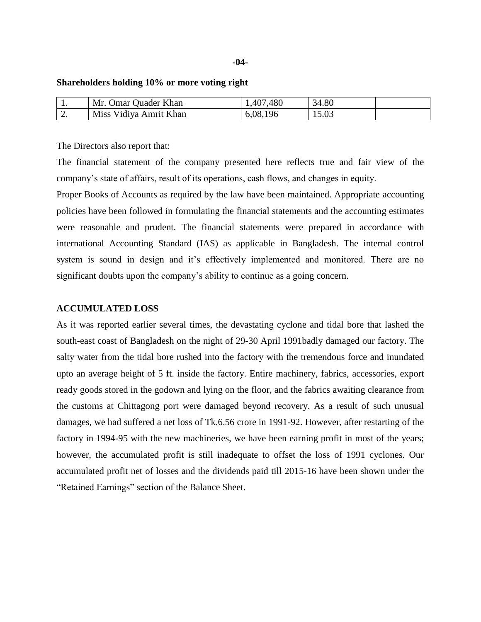#### **Shareholders holding 10% or more voting right**

| . .      | Mr.<br><b>Omar Quader Khan</b> | .480<br>407  | 34.80 |  |
|----------|--------------------------------|--------------|-------|--|
| <u>.</u> | Miss Vidiya Amrit Khan         | 196<br>6.08. | 15.03 |  |

The Directors also report that:

The financial statement of the company presented here reflects true and fair view of the company's state of affairs, result of its operations, cash flows, and changes in equity.

Proper Books of Accounts as required by the law have been maintained. Appropriate accounting policies have been followed in formulating the financial statements and the accounting estimates were reasonable and prudent. The financial statements were prepared in accordance with international Accounting Standard (IAS) as applicable in Bangladesh. The internal control system is sound in design and it's effectively implemented and monitored. There are no significant doubts upon the company's ability to continue as a going concern.

#### **ACCUMULATED LOSS**

As it was reported earlier several times, the devastating cyclone and tidal bore that lashed the south-east coast of Bangladesh on the night of 29-30 April 1991badly damaged our factory. The salty water from the tidal bore rushed into the factory with the tremendous force and inundated upto an average height of 5 ft. inside the factory. Entire machinery, fabrics, accessories, export ready goods stored in the godown and lying on the floor, and the fabrics awaiting clearance from the customs at Chittagong port were damaged beyond recovery. As a result of such unusual damages, we had suffered a net loss of Tk.6.56 crore in 1991-92. However, after restarting of the factory in 1994-95 with the new machineries, we have been earning profit in most of the years; however, the accumulated profit is still inadequate to offset the loss of 1991 cyclones. Our accumulated profit net of losses and the dividends paid till 2015-16 have been shown under the "Retained Earnings" section of the Balance Sheet.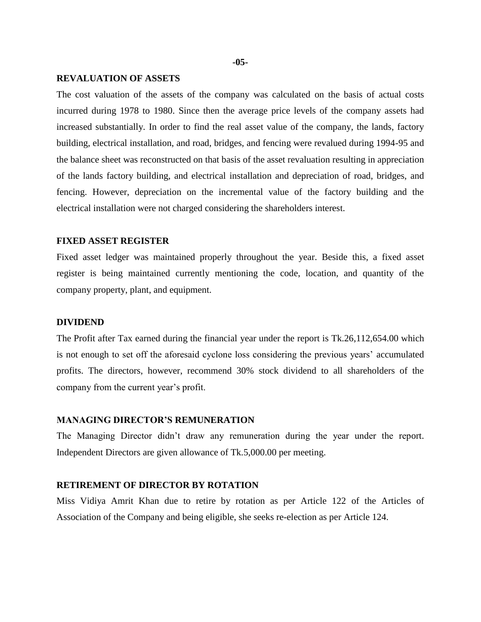#### **-05-**

### **REVALUATION OF ASSETS**

The cost valuation of the assets of the company was calculated on the basis of actual costs incurred during 1978 to 1980. Since then the average price levels of the company assets had increased substantially. In order to find the real asset value of the company, the lands, factory building, electrical installation, and road, bridges, and fencing were revalued during 1994-95 and the balance sheet was reconstructed on that basis of the asset revaluation resulting in appreciation of the lands factory building, and electrical installation and depreciation of road, bridges, and fencing. However, depreciation on the incremental value of the factory building and the electrical installation were not charged considering the shareholders interest.

#### **FIXED ASSET REGISTER**

Fixed asset ledger was maintained properly throughout the year. Beside this, a fixed asset register is being maintained currently mentioning the code, location, and quantity of the company property, plant, and equipment.

#### **DIVIDEND**

The Profit after Tax earned during the financial year under the report is Tk.26,112,654.00 which is not enough to set off the aforesaid cyclone loss considering the previous years' accumulated profits. The directors, however, recommend 30% stock dividend to all shareholders of the company from the current year's profit.

#### **MANAGING DIRECTOR'S REMUNERATION**

The Managing Director didn't draw any remuneration during the year under the report. Independent Directors are given allowance of Tk.5,000.00 per meeting.

## **RETIREMENT OF DIRECTOR BY ROTATION**

Miss Vidiya Amrit Khan due to retire by rotation as per Article 122 of the Articles of Association of the Company and being eligible, she seeks re-election as per Article 124.